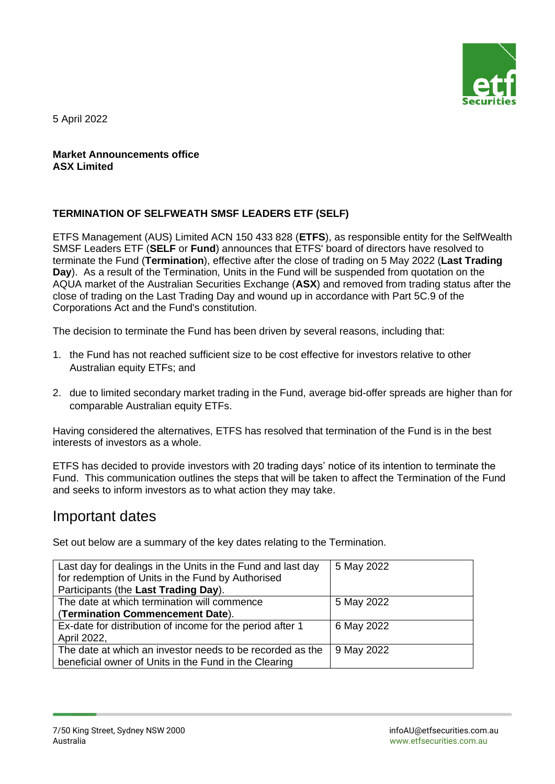

5 April 2022

#### **Market Announcements office ASX Limited**

#### **TERMINATION OF SELFWEATH SMSF LEADERS ETF (SELF)**

ETFS Management (AUS) Limited ACN 150 433 828 (**ETFS**), as responsible entity for the SelfWealth SMSF Leaders ETF (**SELF** or **Fund**) announces that ETFS' board of directors have resolved to terminate the Fund (**Termination**), effective after the close of trading on 5 May 2022 (**Last Trading Day**). As a result of the Termination, Units in the Fund will be suspended from quotation on the AQUA market of the Australian Securities Exchange (**ASX**) and removed from trading status after the close of trading on the Last Trading Day and wound up in accordance with Part 5C.9 of the Corporations Act and the Fund's constitution.

The decision to terminate the Fund has been driven by several reasons, including that:

- 1. the Fund has not reached sufficient size to be cost effective for investors relative to other Australian equity ETFs; and
- 2. due to limited secondary market trading in the Fund, average bid-offer spreads are higher than for comparable Australian equity ETFs.

Having considered the alternatives, ETFS has resolved that termination of the Fund is in the best interests of investors as a whole.

ETFS has decided to provide investors with 20 trading days' notice of its intention to terminate the Fund. This communication outlines the steps that will be taken to affect the Termination of the Fund and seeks to inform investors as to what action they may take.

# Important dates

Set out below are a summary of the key dates relating to the Termination.

| Last day for dealings in the Units in the Fund and last day<br>for redemption of Units in the Fund by Authorised<br>Participants (the Last Trading Day). | 5 May 2022 |
|----------------------------------------------------------------------------------------------------------------------------------------------------------|------------|
| The date at which termination will commence<br>(Termination Commencement Date).                                                                          | 5 May 2022 |
| Ex-date for distribution of income for the period after 1<br>April 2022,                                                                                 | 6 May 2022 |
| The date at which an investor needs to be recorded as the<br>beneficial owner of Units in the Fund in the Clearing                                       | 9 May 2022 |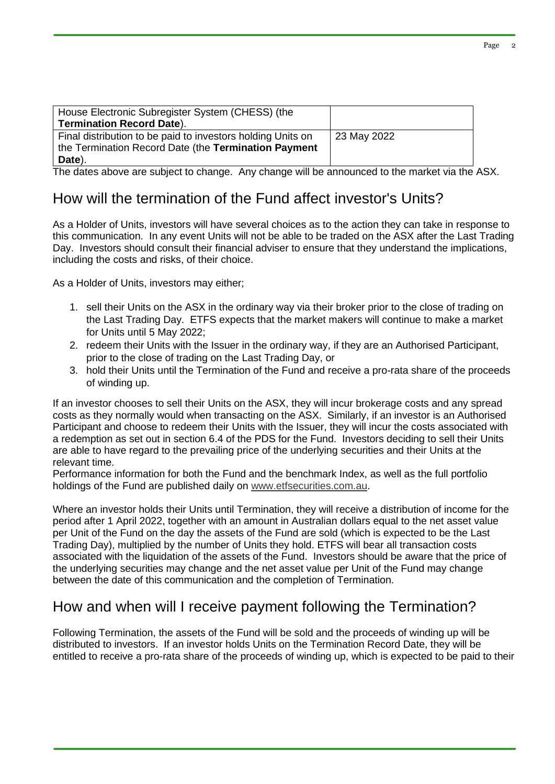| House Electronic Subregister System (CHESS) (the            |             |
|-------------------------------------------------------------|-------------|
| <b>Termination Record Date).</b>                            |             |
| Final distribution to be paid to investors holding Units on | 23 May 2022 |
| the Termination Record Date (the Termination Payment        |             |
| Date).                                                      |             |

The dates above are subject to change. Any change will be announced to the market via the ASX.

### How will the termination of the Fund affect investor's Units?

As a Holder of Units, investors will have several choices as to the action they can take in response to this communication. In any event Units will not be able to be traded on the ASX after the Last Trading Day. Investors should consult their financial adviser to ensure that they understand the implications, including the costs and risks, of their choice.

As a Holder of Units, investors may either;

- 1. sell their Units on the ASX in the ordinary way via their broker prior to the close of trading on the Last Trading Day. ETFS expects that the market makers will continue to make a market for Units until 5 May 2022;
- 2. redeem their Units with the Issuer in the ordinary way, if they are an Authorised Participant, prior to the close of trading on the Last Trading Day, or
- 3. hold their Units until the Termination of the Fund and receive a pro-rata share of the proceeds of winding up.

If an investor chooses to sell their Units on the ASX, they will incur brokerage costs and any spread costs as they normally would when transacting on the ASX. Similarly, if an investor is an Authorised Participant and choose to redeem their Units with the Issuer, they will incur the costs associated with a redemption as set out in section 6.4 of the PDS for the Fund. Investors deciding to sell their Units are able to have regard to the prevailing price of the underlying securities and their Units at the relevant time.

Performance information for both the Fund and the benchmark Index, as well as the full portfolio holdings of the Fund are published daily on [www.etfsecurities.com.au.](http://www.etfsecurities.com.au/)

Where an investor holds their Units until Termination, they will receive a distribution of income for the period after 1 April 2022, together with an amount in Australian dollars equal to the net asset value per Unit of the Fund on the day the assets of the Fund are sold (which is expected to be the Last Trading Day), multiplied by the number of Units they hold. ETFS will bear all transaction costs associated with the liquidation of the assets of the Fund. Investors should be aware that the price of the underlying securities may change and the net asset value per Unit of the Fund may change between the date of this communication and the completion of Termination.

# How and when will I receive payment following the Termination?

Following Termination, the assets of the Fund will be sold and the proceeds of winding up will be distributed to investors. If an investor holds Units on the Termination Record Date, they will be entitled to receive a pro-rata share of the proceeds of winding up, which is expected to be paid to their